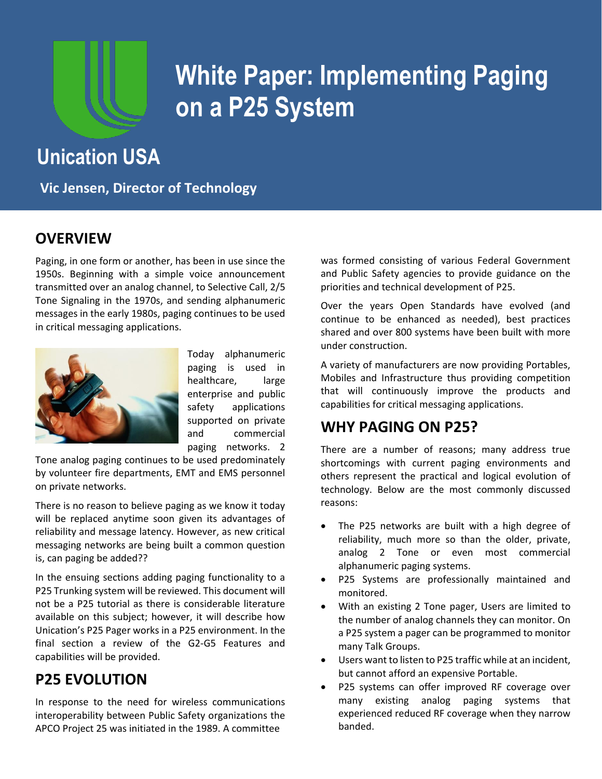

## **White Paper: Implementing Paging on a P25 System**

## **Unication USA**

**Vic Jensen, Director of Technology**

## **OVERVIEW**

Paging, in one form or another, has been in use since the 1950s. Beginning with a simple voice announcement transmitted over an analog channel, to Selective Call, 2/5 Tone Signaling in the 1970s, and sending alphanumeric messages in the early 1980s, paging continues to be used in critical messaging applications.



Today alphanumeric paging is used in healthcare, large enterprise and public safety applications supported on private and commercial

paging networks. 2

Tone analog paging continues to be used predominately by volunteer fire departments, EMT and EMS personnel on private networks.

There is no reason to believe paging as we know it today will be replaced anytime soon given its advantages of reliability and message latency. However, as new critical messaging networks are being built a common question is, can paging be added??

In the ensuing sections adding paging functionality to a P25 Trunking system will be reviewed. This document will not be a P25 tutorial as there is considerable literature available on this subject; however, it will describe how Unication's P25 Pager works in a P25 environment. In the final section a review of the G2-G5 Features and capabilities will be provided.

## **P25 EVOLUTION**

In response to the need for wireless communications interoperability between Public Safety organizations the APCO Project 25 was initiated in the 1989. A committee

was formed consisting of various Federal Government and Public Safety agencies to provide guidance on the priorities and technical development of P25.

Over the years Open Standards have evolved (and continue to be enhanced as needed), best practices shared and over 800 systems have been built with more under construction.

A variety of manufacturers are now providing Portables, Mobiles and Infrastructure thus providing competition that will continuously improve the products and capabilities for critical messaging applications.

## **WHY PAGING ON P25?**

There are a number of reasons; many address true shortcomings with current paging environments and others represent the practical and logical evolution of technology. Below are the most commonly discussed reasons:

- The P25 networks are built with a high degree of reliability, much more so than the older, private, analog 2 Tone or even most commercial alphanumeric paging systems.
- P25 Systems are professionally maintained and monitored.
- With an existing 2 Tone pager, Users are limited to the number of analog channels they can monitor. On a P25 system a pager can be programmed to monitor many Talk Groups.
- Users want to listen to P25 traffic while at an incident, but cannot afford an expensive Portable.
- P25 systems can offer improved RF coverage over many existing analog paging systems that experienced reduced RF coverage when they narrow banded.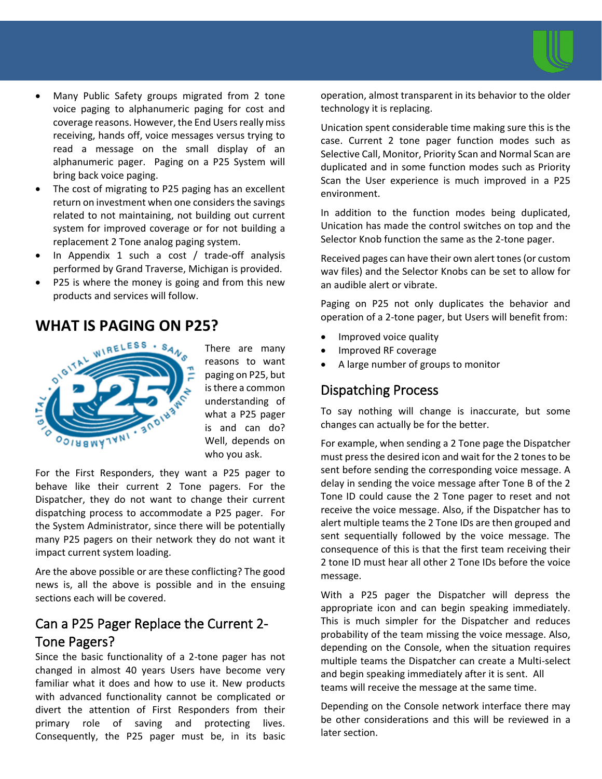

- Many Public Safety groups migrated from 2 tone voice paging to alphanumeric paging for cost and coverage reasons. However, the End Users really miss receiving, hands off, voice messages versus trying to read a message on the small display of an alphanumeric pager. Paging on a P25 System will bring back voice paging.
- The cost of migrating to P25 paging has an excellent return on investment when one considers the savings related to not maintaining, not building out current system for improved coverage or for not building a replacement 2 Tone analog paging system.
- In Appendix 1 such a cost / trade-off analysis performed by Grand Traverse, Michigan is provided.
- P25 is where the money is going and from this new products and services will follow.

## **WHAT IS PAGING ON P25?**



There are many reasons to want paging on P25, but is there a common understanding of what a P25 pager is and can do? Well, depends on who you ask.

For the First Responders, they want a P25 pager to behave like their current 2 Tone pagers. For the Dispatcher, they do not want to change their current dispatching process to accommodate a P25 pager. For the System Administrator, since there will be potentially many P25 pagers on their network they do not want it impact current system loading.

Are the above possible or are these conflicting? The good news is, all the above is possible and in the ensuing sections each will be covered.

## Can a P25 Pager Replace the Current 2- Tone Pagers?

Since the basic functionality of a 2-tone pager has not changed in almost 40 years Users have become very familiar what it does and how to use it. New products with advanced functionality cannot be complicated or divert the attention of First Responders from their primary role of saving and protecting lives. Consequently, the P25 pager must be, in its basic

operation, almost transparent in its behavior to the older technology it is replacing.

Unication spent considerable time making sure this is the case. Current 2 tone pager function modes such as Selective Call, Monitor, Priority Scan and Normal Scan are duplicated and in some function modes such as Priority Scan the User experience is much improved in a P25 environment.

In addition to the function modes being duplicated, Unication has made the control switches on top and the Selector Knob function the same as the 2-tone pager.

Received pages can have their own alert tones (or custom wav files) and the Selector Knobs can be set to allow for an audible alert or vibrate.

Paging on P25 not only duplicates the behavior and operation of a 2-tone pager, but Users will benefit from:

- Improved voice quality
- Improved RF coverage
- A large number of groups to monitor

#### Dispatching Process

To say nothing will change is inaccurate, but some changes can actually be for the better.

For example, when sending a 2 Tone page the Dispatcher must press the desired icon and wait for the 2 tones to be sent before sending the corresponding voice message. A delay in sending the voice message after Tone B of the 2 Tone ID could cause the 2 Tone pager to reset and not receive the voice message. Also, if the Dispatcher has to alert multiple teams the 2 Tone IDs are then grouped and sent sequentially followed by the voice message. The consequence of this is that the first team receiving their 2 tone ID must hear all other 2 Tone IDs before the voice message.

With a P25 pager the Dispatcher will depress the appropriate icon and can begin speaking immediately. This is much simpler for the Dispatcher and reduces probability of the team missing the voice message. Also, depending on the Console, when the situation requires multiple teams the Dispatcher can create a Multi-select and begin speaking immediately after it is sent. All teams will receive the message at the same time.

Depending on the Console network interface there may be other considerations and this will be reviewed in a later section.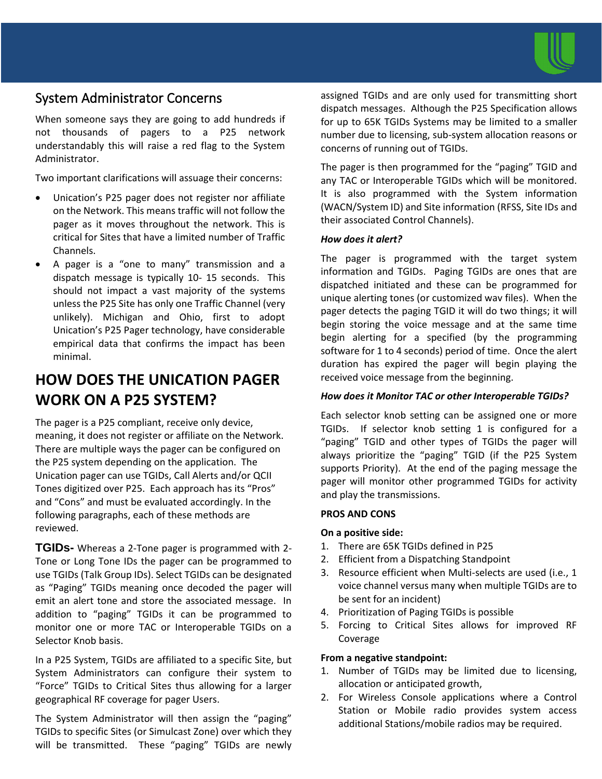

### System Administrator Concerns

When someone says they are going to add hundreds if not thousands of pagers to a P25 network understandably this will raise a red flag to the System Administrator.

Two important clarifications will assuage their concerns:

- Unication's P25 pager does not register nor affiliate on the Network. This means traffic will not follow the pager as it moves throughout the network. This is critical for Sites that have a limited number of Traffic Channels.
- A pager is a "one to many" transmission and a dispatch message is typically 10- 15 seconds. This should not impact a vast majority of the systems unless the P25 Site has only one Traffic Channel (very unlikely). Michigan and Ohio, first to adopt Unication's P25 Pager technology, have considerable empirical data that confirms the impact has been minimal.

## **HOW DOES THE UNICATION PAGER WORK ON A P25 SYSTEM?**

The pager is a P25 compliant, receive only device, meaning, it does not register or affiliate on the Network. There are multiple ways the pager can be configured on the P25 system depending on the application. The Unication pager can use TGIDs, Call Alerts and/or QCII Tones digitized over P25. Each approach has its "Pros" and "Cons" and must be evaluated accordingly. In the following paragraphs, each of these methods are reviewed.

**TGIDs-** Whereas a 2-Tone pager is programmed with 2- Tone or Long Tone IDs the pager can be programmed to use TGIDs (Talk Group IDs). Select TGIDs can be designated as "Paging" TGIDs meaning once decoded the pager will emit an alert tone and store the associated message. In addition to "paging" TGIDs it can be programmed to monitor one or more TAC or Interoperable TGIDs on a Selector Knob basis.

In a P25 System, TGIDs are affiliated to a specific Site, but System Administrators can configure their system to "Force" TGIDs to Critical Sites thus allowing for a larger geographical RF coverage for pager Users.

The System Administrator will then assign the "paging" TGIDs to specific Sites (or Simulcast Zone) over which they will be transmitted. These "paging" TGIDs are newly

assigned TGIDs and are only used for transmitting short dispatch messages. Although the P25 Specification allows for up to 65K TGIDs Systems may be limited to a smaller number due to licensing, sub-system allocation reasons or concerns of running out of TGIDs.

The pager is then programmed for the "paging" TGID and any TAC or Interoperable TGIDs which will be monitored. It is also programmed with the System information (WACN/System ID) and Site information (RFSS, Site IDs and their associated Control Channels).

#### *How does it alert?*

The pager is programmed with the target system information and TGIDs. Paging TGIDs are ones that are dispatched initiated and these can be programmed for unique alerting tones (or customized wav files). When the pager detects the paging TGID it will do two things; it will begin storing the voice message and at the same time begin alerting for a specified (by the programming software for 1 to 4 seconds) period of time. Once the alert duration has expired the pager will begin playing the received voice message from the beginning.

#### *How does it Monitor TAC or other Interoperable TGIDs?*

Each selector knob setting can be assigned one or more TGIDs. If selector knob setting 1 is configured for a "paging" TGID and other types of TGIDs the pager will always prioritize the "paging" TGID (if the P25 System supports Priority). At the end of the paging message the pager will monitor other programmed TGIDs for activity and play the transmissions.

#### **PROS AND CONS**

#### **On a positive side:**

- 1. There are 65K TGIDs defined in P25
- 2. Efficient from a Dispatching Standpoint
- 3. Resource efficient when Multi-selects are used (i.e., 1 voice channel versus many when multiple TGIDs are to be sent for an incident)
- 4. Prioritization of Paging TGIDs is possible
- 5. Forcing to Critical Sites allows for improved RF Coverage

#### **From a negative standpoint:**

- 1. Number of TGIDs may be limited due to licensing, allocation or anticipated growth,
- 2. For Wireless Console applications where a Control Station or Mobile radio provides system access additional Stations/mobile radios may be required.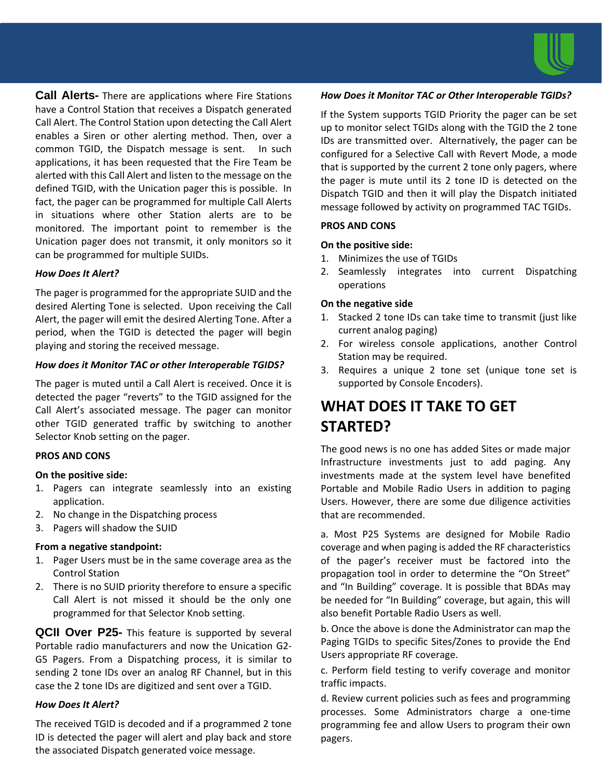

**Call Alerts-** There are applications where Fire Stations have a Control Station that receives a Dispatch generated Call Alert. The Control Station upon detecting the Call Alert enables a Siren or other alerting method. Then, over a common TGID, the Dispatch message is sent. In such applications, it has been requested that the Fire Team be alerted with this Call Alert and listen to the message on the defined TGID, with the Unication pager this is possible. In fact, the pager can be programmed for multiple Call Alerts in situations where other Station alerts are to be monitored. The important point to remember is the Unication pager does not transmit, it only monitors so it can be programmed for multiple SUIDs.

#### *How Does It Alert?*

The pager is programmed for the appropriate SUID and the desired Alerting Tone is selected. Upon receiving the Call Alert, the pager will emit the desired Alerting Tone. After a period, when the TGID is detected the pager will begin playing and storing the received message.

#### *How does it Monitor TAC or other Interoperable TGIDS?*

The pager is muted until a Call Alert is received. Once it is detected the pager "reverts" to the TGID assigned for the Call Alert's associated message. The pager can monitor other TGID generated traffic by switching to another Selector Knob setting on the pager.

#### **PROS AND CONS**

#### **On the positive side:**

- 1. Pagers can integrate seamlessly into an existing application.
- 2. No change in the Dispatching process
- 3. Pagers will shadow the SUID

#### **From a negative standpoint:**

- 1. Pager Users must be in the same coverage area as the Control Station
- 2. There is no SUID priority therefore to ensure a specific Call Alert is not missed it should be the only one programmed for that Selector Knob setting.

**QCII Over P25-** This feature is supported by several Portable radio manufacturers and now the Unication G2- G5 Pagers. From a Dispatching process, it is similar to sending 2 tone IDs over an analog RF Channel, but in this case the 2 tone IDs are digitized and sent over a TGID.

#### *How Does It Alert?*

The received TGID is decoded and if a programmed 2 tone ID is detected the pager will alert and play back and store the associated Dispatch generated voice message.

#### *How Does it Monitor TAC or Other Interoperable TGIDs?*

If the System supports TGID Priority the pager can be set up to monitor select TGIDs along with the TGID the 2 tone IDs are transmitted over. Alternatively, the pager can be configured for a Selective Call with Revert Mode, a mode that is supported by the current 2 tone only pagers, where the pager is mute until its 2 tone ID is detected on the Dispatch TGID and then it will play the Dispatch initiated message followed by activity on programmed TAC TGIDs.

#### **PROS AND CONS**

#### **On the positive side:**

- 1. Minimizes the use of TGIDs
- 2. Seamlessly integrates into current Dispatching operations

#### **On the negative side**

- 1. Stacked 2 tone IDs can take time to transmit (just like current analog paging)
- 2. For wireless console applications, another Control Station may be required.
- 3. Requires a unique 2 tone set (unique tone set is supported by Console Encoders).

## **WHAT DOES IT TAKE TO GET STARTED?**

The good news is no one has added Sites or made major Infrastructure investments just to add paging. Any investments made at the system level have benefited Portable and Mobile Radio Users in addition to paging Users. However, there are some due diligence activities that are recommended.

a. Most P25 Systems are designed for Mobile Radio coverage and when paging is added the RF characteristics of the pager's receiver must be factored into the propagation tool in order to determine the "On Street" and "In Building" coverage. It is possible that BDAs may be needed for "In Building" coverage, but again, this will also benefit Portable Radio Users as well.

b. Once the above is done the Administrator can map the Paging TGIDs to specific Sites/Zones to provide the End Users appropriate RF coverage.

c. Perform field testing to verify coverage and monitor traffic impacts.

d. Review current policies such as fees and programming processes. Some Administrators charge a one-time programming fee and allow Users to program their own pagers.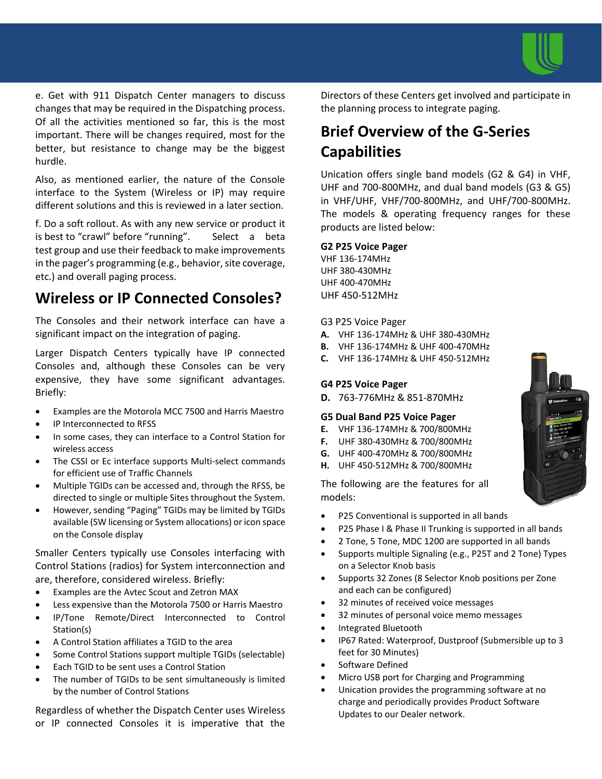

e. Get with 911 Dispatch Center managers to discuss changes that may be required in the Dispatching process. Of all the activities mentioned so far, this is the most important. There will be changes required, most for the better, but resistance to change may be the biggest hurdle.

Also, as mentioned earlier, the nature of the Console interface to the System (Wireless or IP) may require different solutions and this is reviewed in a later section.

f. Do a soft rollout. As with any new service or product it is best to "crawl" before "running". Select a beta test group and use their feedback to make improvements in the pager's programming (e.g., behavior, site coverage, etc.) and overall paging process.

## **Wireless or IP Connected Consoles?**

The Consoles and their network interface can have a significant impact on the integration of paging.

Larger Dispatch Centers typically have IP connected Consoles and, although these Consoles can be very expensive, they have some significant advantages. Briefly:

- Examples are the Motorola MCC 7500 and Harris Maestro
- IP Interconnected to RFSS
- In some cases, they can interface to a Control Station for wireless access
- The CSSI or Ec interface supports Multi-select commands for efficient use of Traffic Channels
- Multiple TGIDs can be accessed and, through the RFSS, be directed to single or multiple Sites throughout the System.
- However, sending "Paging" TGIDs may be limited by TGIDs available (SW licensing or System allocations) or icon space on the Console display

Smaller Centers typically use Consoles interfacing with Control Stations (radios) for System interconnection and are, therefore, considered wireless. Briefly:

- Examples are the Avtec Scout and Zetron MAX
- Less expensive than the Motorola 7500 or Harris Maestro
- IP/Tone Remote/Direct Interconnected to Control Station(s)
- A Control Station affiliates a TGID to the area
- Some Control Stations support multiple TGIDs (selectable)
- Each TGID to be sent uses a Control Station
- The number of TGIDs to be sent simultaneously is limited by the number of Control Stations

Regardless of whether the Dispatch Center uses Wireless or IP connected Consoles it is imperative that the

Directors of these Centers get involved and participate in the planning process to integrate paging.

## **Brief Overview of the G-Series Capabilities**

Unication offers single band models (G2 & G4) in VHF, UHF and 700-800MHz, and dual band models (G3 & G5) in VHF/UHF, VHF/700-800MHz, and UHF/700-800MHz. The models & operating frequency ranges for these products are listed below:

#### **G2 P25 Voice Pager**

VHF 136-174MHz UHF 380-430MHz UHF 400-470MHz UHF 450-512MHz

#### G3 P25 Voice Pager

- **A.** VHF 136-174MHz & UHF 380-430MHz
- **B.** VHF 136-174MHz & UHF 400-470MHz
- **C.** VHF 136-174MHz & UHF 450-512MHz

#### **G4 P25 Voice Pager**

**D.** 763-776MHz & 851-870MHz

#### **G5 Dual Band P25 Voice Pager**

- **E.** VHF 136-174MHz & 700/800MHz
- **F.** UHF 380-430MHz & 700/800MHz
- **G.** UHF 400-470MHz & 700/800MHz
- **H.** UHF 450-512MHz & 700/800MHz

The following are the features for all models:

- P25 Conventional is supported in all bands
- P25 Phase I & Phase II Trunking is supported in all bands
- 2 Tone, 5 Tone, MDC 1200 are supported in all bands
- Supports multiple Signaling (e.g., P25T and 2 Tone) Types on a Selector Knob basis
- Supports 32 Zones (8 Selector Knob positions per Zone and each can be configured)
- 32 minutes of received voice messages
- 32 minutes of personal voice memo messages
- Integrated Bluetooth
- IP67 Rated: Waterproof, Dustproof (Submersible up to 3 feet for 30 Minutes)
- Software Defined
- Micro USB port for Charging and Programming
- Unication provides the programming software at no charge and periodically provides Product Software Updates to our Dealer network.